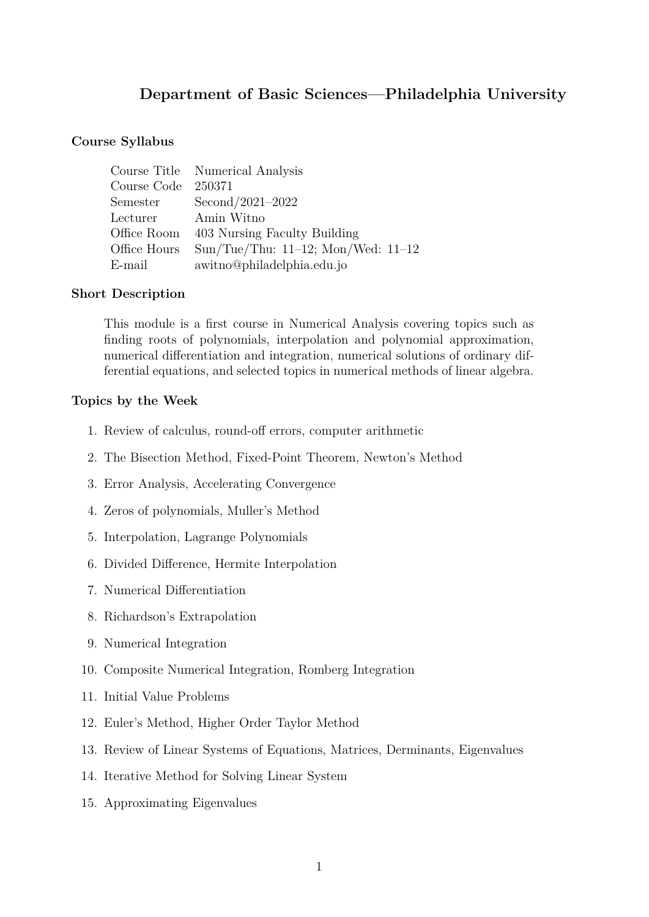# **Department of Basic Sciences—Philadelphia University**

#### **Course Syllabus**

|                     | Course Title Numerical Analysis          |
|---------------------|------------------------------------------|
| Course Code         | 250371                                   |
| Semester            | Second/2021-2022                         |
| Lecturer Amin Witno |                                          |
|                     | Office Room 403 Nursing Faculty Building |
| Office Hours        | Sun/Tue/Thu: $11-12$ ; Mon/Wed: $11-12$  |
| E-mail              | awitno@philadelphia.edu.jo               |

#### **Short Description**

This module is a first course in Numerical Analysis covering topics such as finding roots of polynomials, interpolation and polynomial approximation, numerical differentiation and integration, numerical solutions of ordinary differential equations, and selected topics in numerical methods of linear algebra.

#### **Topics by the Week**

- 1. Review of calculus, round-off errors, computer arithmetic
- 2. The Bisection Method, Fixed-Point Theorem, Newton's Method
- 3. Error Analysis, Accelerating Convergence
- 4. Zeros of polynomials, Muller's Method
- 5. Interpolation, Lagrange Polynomials
- 6. Divided Difference, Hermite Interpolation
- 7. Numerical Differentiation
- 8. Richardson's Extrapolation
- 9. Numerical Integration
- 10. Composite Numerical Integration, Romberg Integration
- 11. Initial Value Problems
- 12. Euler's Method, Higher Order Taylor Method
- 13. Review of Linear Systems of Equations, Matrices, Derminants, Eigenvalues
- 14. Iterative Method for Solving Linear System
- 15. Approximating Eigenvalues